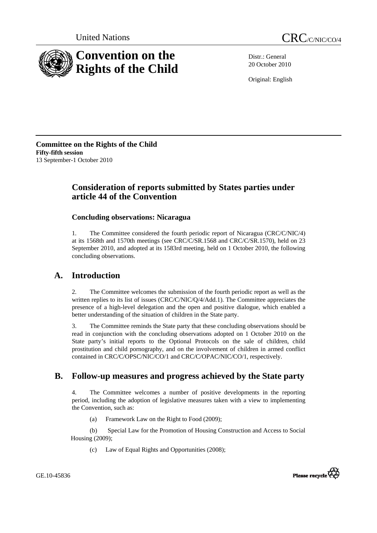



Distr.: General 20 October 2010

Original: English

**Committee on the Rights of the Child Fifty-fifth session**  13 September-1 October 2010

# **Consideration of reports submitted by States parties under article 44 of the Convention**

## **Concluding observations: Nicaragua**

1. The Committee considered the fourth periodic report of Nicaragua (CRC/C/NIC/4) at its 1568th and 1570th meetings (see CRC/C/SR.1568 and CRC/C/SR.1570), held on 23 September 2010, and adopted at its 1583rd meeting, held on 1 October 2010, the following concluding observations.

# **A. Introduction**

2. The Committee welcomes the submission of the fourth periodic report as well as the written replies to its list of issues (CRC/C/NIC/Q/4/Add.1). The Committee appreciates the presence of a high-level delegation and the open and positive dialogue, which enabled a better understanding of the situation of children in the State party.

3. The Committee reminds the State party that these concluding observations should be read in conjunction with the concluding observations adopted on 1 October 2010 on the State party's initial reports to the Optional Protocols on the sale of children, child prostitution and child pornography, and on the involvement of children in armed conflict contained in CRC/C/OPSC/NIC/CO/1 and CRC/C/OPAC/NIC/CO/1, respectively.

# **B. Follow-up measures and progress achieved by the State party**

4. The Committee welcomes a number of positive developments in the reporting period, including the adoption of legislative measures taken with a view to implementing the Convention, such as:

(a) Framework Law on the Right to Food (2009);

 (b) Special Law for the Promotion of Housing Construction and Access to Social Housing (2009);

(c) Law of Equal Rights and Opportunities (2008);



GE.10-45836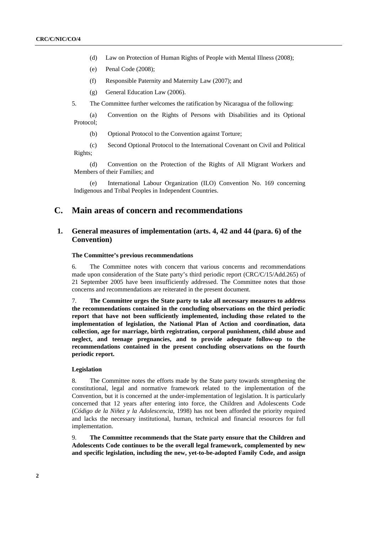- (d) Law on Protection of Human Rights of People with Mental Illness (2008);
- (e) Penal Code (2008);
- (f) Responsible Paternity and Maternity Law (2007); and
- (g) General Education Law (2006).
- 5. The Committee further welcomes the ratification by Nicaragua of the following:

 (a) Convention on the Rights of Persons with Disabilities and its Optional Protocol;

(b) Optional Protocol to the Convention against Torture;

 (c) Second Optional Protocol to the International Covenant on Civil and Political Rights;

 (d) Convention on the Protection of the Rights of All Migrant Workers and Members of their Families; and

 (e) International Labour Organization (ILO) Convention No. 169 concerning Indigenous and Tribal Peoples in Independent Countries.

## **C. Main areas of concern and recommendations**

## **1. General measures of implementation (arts. 4, 42 and 44 (para. 6) of the Convention)**

#### **The Committee's previous recommendations**

6. The Committee notes with concern that various concerns and recommendations made upon consideration of the State party's third periodic report (CRC/C/15/Add.265) of 21 September 2005 have been insufficiently addressed. The Committee notes that those concerns and recommendations are reiterated in the present document.

7. **The Committee urges the State party to take all necessary measures to address the recommendations contained in the concluding observations on the third periodic report that have not been sufficiently implemented, including those related to the implementation of legislation, the National Plan of Action and coordination, data collection, age for marriage, birth registration, corporal punishment, child abuse and neglect, and teenage pregnancies, and to provide adequate follow-up to the recommendations contained in the present concluding observations on the fourth periodic report.** 

### **Legislation**

8. The Committee notes the efforts made by the State party towards strengthening the constitutional, legal and normative framework related to the implementation of the Convention, but it is concerned at the under-implementation of legislation. It is particularly concerned that 12 years after entering into force, the Children and Adolescents Code (*Código de la Niñez y la Adolescencia*, 1998) has not been afforded the priority required and lacks the necessary institutional, human, technical and financial resources for full implementation.

9. **The Committee recommends that the State party ensure that the Children and Adolescents Code continues to be the overall legal framework, complemented by new and specific legislation, including the new, yet-to-be-adopted Family Code, and assign**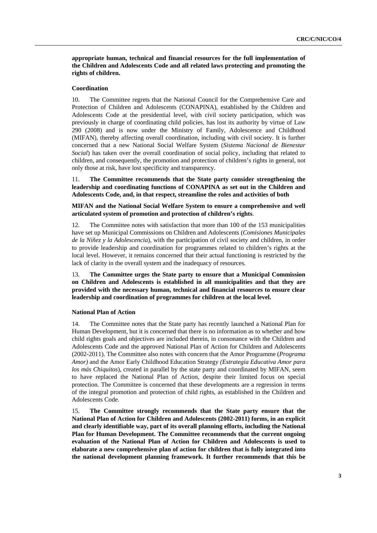**appropriate human, technical and financial resources for the full implementation of the Children and Adolescents Code and all related laws protecting and promoting the rights of children.** 

### **Coordination**

10. The Committee regrets that the National Council for the Comprehensive Care and Protection of Children and Adolescents (CONAPINA), established by the Children and Adolescents Code at the presidential level, with civil society participation, which was previously in charge of coordinating child policies, has lost its authority by virtue of Law 290 (2008) and is now under the Ministry of Family, Adolescence and Childhood (MIFAN), thereby affecting overall coordination, including with civil society. It is further concerned that a new National Social Welfare System (*Sistema Nacional de Bienestar Social*) has taken over the overall coordination of social policy, including that related to children, and consequently, the promotion and protection of children's rights in general, not only those at risk, have lost specificity and transparency.

11. **The Committee recommends that the State party consider strengthening the leadership and coordinating functions of CONAPINA as set out in the Children and Adolescents Code, and, in that respect, streamline the roles and activities of both** 

**MIFAN and the National Social Welfare System to ensure a comprehensive and well articulated system of promotion and protection of children's rights**.

12. The Committee notes with satisfaction that more than 100 of the 153 municipalities have set up Municipal Commissions on Children and Adolescents (*Comisiones Municipales de la Niñez y la Adolescencia*), with the participation of civil society and children, in order to provide leadership and coordination for programmes related to children's rights at the local level. However, it remains concerned that their actual functioning is restricted by the lack of clarity in the overall system and the inadequacy of resources.

13. **The Committee urges the State party to ensure that a Municipal Commission on Children and Adolescents is established in all municipalities and that they are provided with the necessary human, technical and financial resources to ensure clear leadership and coordination of programmes for children at the local level.** 

### **National Plan of Action**

14. The Committee notes that the State party has recently launched a National Plan for Human Development, but it is concerned that there is no information as to whether and how child rights goals and objectives are included therein, in consonance with the Children and Adolescents Code and the approved National Plan of Action for Children and Adolescents (2002-2011). The Committee also notes with concern that the Amor Programme (*Programa Amor)* and the Amor Early Childhood Education Strategy *(Estrategia Educativa Amor para los más Chiquitos*), created in parallel by the state party and coordinated by MIFAN, seem to have replaced the National Plan of Action, despite their limited focus on special protection. The Committee is concerned that these developments are a regression in terms of the integral promotion and protection of child rights, as established in the Children and Adolescents Code.

15. **The Committee strongly recommends that the State party ensure that the National Plan of Action for Children and Adolescents (2002-2011) forms, in an explicit and clearly identifiable way, part of its overall planning efforts, including the National Plan for Human Development. The Committee recommends that the current ongoing evaluation of the National Plan of Action for Children and Adolescents is used to elaborate a new comprehensive plan of action for children that is fully integrated into the national development planning framework. It further recommends that this be**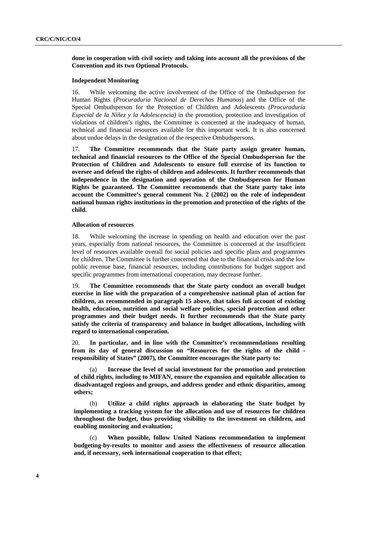## **done in cooperation with civil society and taking into account all the provisions of the Convention and its two Optional Protocols.**

### **Independent Monitoring**

16. While welcoming the active involvement of the Office of the Ombudsperson for Human Rights (*Procuraduria Nacional de Derechos Humanos*) and the Office of the Special Ombudsperson for the Protection of Children and Adolescents *(Procuraduría Especial de la Niñez y la Adolescencia)* in the promotion, protection and investigation of violations of children's rights, the Committee is concerned at the inadequacy of human, technical and financial resources available for this important work. It is also concerned about undue delays in the designation of the respective Ombudspersons.

17. **The Committee recommends that the State party assign greater human, technical and financial resources to the Office of the Special Ombudsperson for the Protection of Children and Adolescents to ensure full exercise of its function to oversee and defend the rights of children and adolescents. It further recommends that independence in the designation and operation of the Ombudsperson for Human Rights be guaranteed. The Committee recommends that the State party take into account the Committee's general comment No. 2 (2002) on the role of independent national human rights institutions in the promotion and protection of the rights of the child.** 

#### **Allocation of resources**

18. While welcoming the increase in spending on health and education over the past years, especially from national resources, the Committee is concerned at the insufficient level of resources available overall for social policies and specific plans and programmes for children. The Committee is further concerned that due to the financial crisis and the low public revenue base, financial resources, including contributions for budget support and specific programmes from international cooperation, may decrease further.

19. **The Committee recommends that the State party conduct an overall budget exercise in line with the preparation of a comprehensive national plan of action for children, as recommended in paragraph 15 above, that takes full account of existing health, education, nutrition and social welfare policies, special protection and other programmes and their budget needs. It further recommends that the State party satisfy the criteria of transparency and balance in budget allocations, including with regard to international cooperation.** 

20. **In particular, and in line with the Committee's recommendations resulting from its day of general discussion on "Resources for the rights of the child responsibility of States" (2007), the Committee encourages the State party to:** 

 (a) **Increase the level of social investment for the promotion and protection of child rights, including to MIFAN, ensure the expansion and equitable allocation to disadvantaged regions and groups, and address gender and ethnic disparities, among others;** 

 (b) **Utilize a child rights approach in elaborating the State budget by implementing a tracking system for the allocation and use of resources for children throughout the budget, thus providing visibility to the investment on children, and enabling monitoring and evaluation;** 

 (c) **When possible, follow United Nations recommendation to implement budgeting-by-results to monitor and assess the effectiveness of resource allocation and, if necessary, seek international cooperation to that effect;**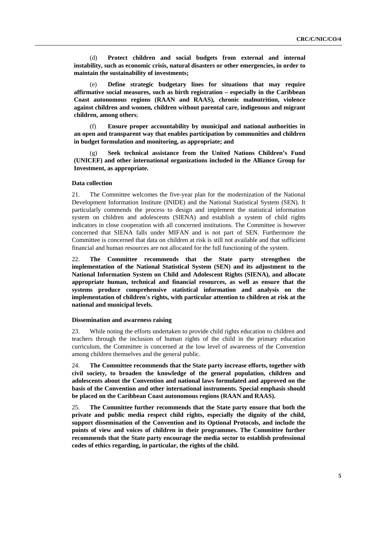(d) **Protect children and social budgets from external and internal instability, such as economic crisis, natural disasters or other emergencies, in order to maintain the sustainability of investments;** 

 (e) **Define strategic budgetary lines for situations that may require affirmative social measures, such as birth registration – especially in the Caribbean Coast autonomous regions (RAAN and RAAS), chronic malnutrition, violence against children and women, children without parental care, indigenous and migrant children, among others**;

 (f) **Ensure proper accountability by municipal and national authorities in an open and transparent way that enables participation by communities and children in budget formulation and monitoring, as appropriate; and** 

 (g) **Seek technical assistance from the United Nations Children's Fund (UNICEF) and other international organizations included in the Alliance Group for Investment, as appropriate.** 

### **Data collection**

21. The Committee welcomes the five-year plan for the modernization of the National Development Information Institute (INIDE) and the National Statistical System (SEN). It particularly commends the process to design and implement the statistical information system on children and adolescents (SIENA) and establish a system of child rights indicators in close cooperation with all concerned institutions. The Committee is however concerned that SIENA falls under MIFAN and is not part of SEN. Furthermore the Committee is concerned that data on children at risk is still not available and that sufficient financial and human resources are not allocated for the full functioning of the system.

22. **The Committee recommends that the State party strengthen the implementation of the National Statistical System (SEN) and its adjustment to the National Information System on Child and Adolescent Rights (SIENA), and allocate appropriate human, technical and financial resources, as well as ensure that the systems produce comprehensive statistical information and analysis on the implementation of children's rights, with particular attention to children at risk at the national and municipal levels.** 

#### **Dissemination and awareness raising**

23. While noting the efforts undertaken to provide child rights education to children and teachers through the inclusion of human rights of the child in the primary education curriculum, the Committee is concerned at the low level of awareness of the Convention among children themselves and the general public.

24. **The Committee recommends that the State party increase efforts, together with civil society, to broaden the knowledge of the general population, children and adolescents about the Convention and national laws formulated and approved on the basis of the Convention and other international instruments. Special emphasis should be placed on the Caribbean Coast autonomous regions (RAAN and RAAS).** 

25. **The Committee further recommends that the State party ensure that both the private and public media respect child rights, especially the dignity of the child, support dissemination of the Convention and its Optional Protocols, and include the points of view and voices of children in their programmes. The Committee further recommends that the State party encourage the media sector to establish professional codes of ethics regarding, in particular, the rights of the child.**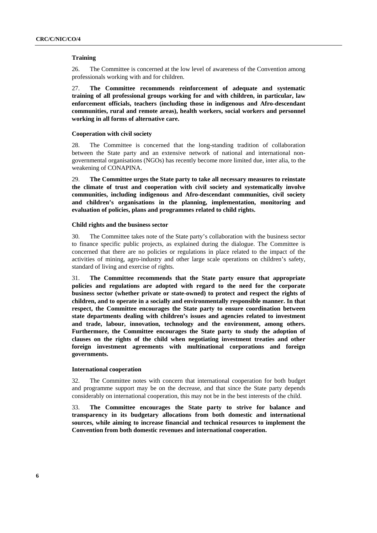#### **Training**

26. The Committee is concerned at the low level of awareness of the Convention among professionals working with and for children.

27. **The Committee recommends reinforcement of adequate and systematic training of all professional groups working for and with children, in particular, law enforcement officials, teachers (including those in indigenous and Afro-descendant communities, rural and remote areas), health workers, social workers and personnel working in all forms of alternative care.** 

#### **Cooperation with civil society**

28. The Committee is concerned that the long-standing tradition of collaboration between the State party and an extensive network of national and international nongovernmental organisations (NGOs) has recently become more limited due, inter alia, to the weakening of CONAPINA.

29. **The Committee urges the State party to take all necessary measures to reinstate the climate of trust and cooperation with civil society and systematically involve communities, including indigenous and Afro-descendant communities, civil society and children's organisations in the planning, implementation, monitoring and evaluation of policies, plans and programmes related to child rights.**

### **Child rights and the business sector**

30. The Committee takes note of the State party's collaboration with the business sector to finance specific public projects, as explained during the dialogue. The Committee is concerned that there are no policies or regulations in place related to the impact of the activities of mining, agro-industry and other large scale operations on children's safety, standard of living and exercise of rights.

31. **The Committee recommends that the State party ensure that appropriate policies and regulations are adopted with regard to the need for the corporate business sector (whether private or state-owned) to protect and respect the rights of children, and to operate in a socially and environmentally responsible manner. In that respect, the Committee encourages the State party to ensure coordination between state departments dealing with children's issues and agencies related to investment and trade, labour, innovation, technology and the environment, among others. Furthermore, the Committee encourages the State party to study the adoption of clauses on the rights of the child when negotiating investment treaties and other foreign investment agreements with multinational corporations and foreign governments.** 

#### **International cooperation**

32. The Committee notes with concern that international cooperation for both budget and programme support may be on the decrease, and that since the State party depends considerably on international cooperation, this may not be in the best interests of the child.

33. **The Committee encourages the State party to strive for balance and transparency in its budgetary allocations from both domestic and international sources, while aiming to increase financial and technical resources to implement the Convention from both domestic revenues and international cooperation.**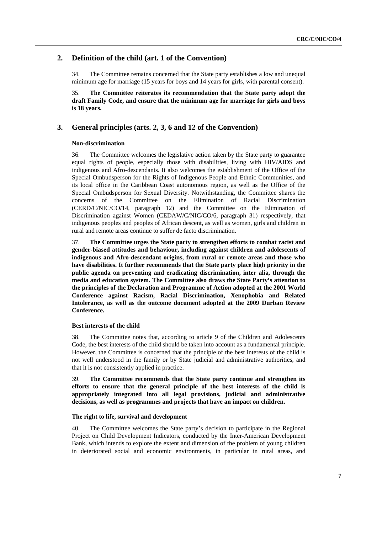## **2. Definition of the child (art. 1 of the Convention)**

34. The Committee remains concerned that the State party establishes a low and unequal minimum age for marriage (15 years for boys and 14 years for girls, with parental consent).

35. **The Committee reiterates its recommendation that the State party adopt the draft Family Code, and ensure that the minimum age for marriage for girls and boys is 18 years.** 

## **3. General principles (arts. 2, 3, 6 and 12 of the Convention)**

### **Non-discrimination**

36. The Committee welcomes the legislative action taken by the State party to guarantee equal rights of people, especially those with disabilities, living with HIV/AIDS and indigenous and Afro-descendants. It also welcomes the establishment of the Office of the Special Ombudsperson for the Rights of Indigenous People and Ethnic Communities, and its local office in the Caribbean Coast autonomous region, as well as the Office of the Special Ombudsperson for Sexual Diversity. Notwithstanding, the Committee shares the concerns of the Committee on the Elimination of Racial Discrimination (CERD/C/NIC/CO/14, paragraph 12) and the Committee on the Elimination of Discrimination against Women (CEDAW/C/NIC/CO/6, paragraph 31) respectively, that indigenous peoples and peoples of African descent, as well as women, girls and children in rural and remote areas continue to suffer de facto discrimination.

37. **The Committee urges the State party to strengthen efforts to combat racist and gender-biased attitudes and behaviour, including against children and adolescents of indigenous and Afro-descendant origins, from rural or remote areas and those who have disabilities. It further recommends that the State party place high priority in the public agenda on preventing and eradicating discrimination, inter alia, through the media and education system. The Committee also draws the State Party's attention to the principles of the Declaration and Programme of Action adopted at the 2001 World Conference against Racism, Racial Discrimination, Xenophobia and Related Intolerance, as well as the outcome document adopted at the 2009 Durban Review Conference.** 

### **Best interests of the child**

38. The Committee notes that, according to article 9 of the Children and Adolescents Code, the best interests of the child should be taken into account as a fundamental principle. However, the Committee is concerned that the principle of the best interests of the child is not well understood in the family or by State judicial and administrative authorities, and that it is not consistently applied in practice.

39. **The Committee recommends that the State party continue and strengthen its efforts to ensure that the general principle of the best interests of the child is appropriately integrated into all legal provisions, judicial and administrative decisions, as well as programmes and projects that have an impact on children.** 

### **The right to life, survival and development**

40. The Committee welcomes the State party's decision to participate in the Regional Project on Child Development Indicators, conducted by the Inter-American Development Bank, which intends to explore the extent and dimension of the problem of young children in deteriorated social and economic environments, in particular in rural areas, and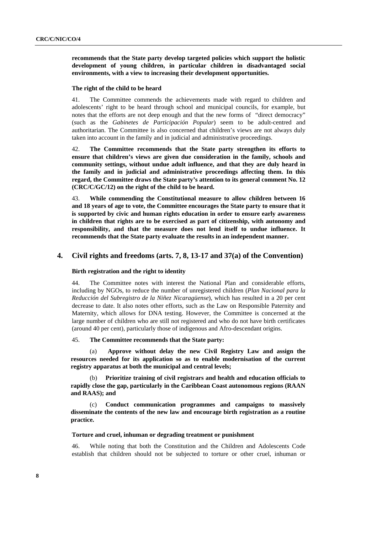**recommends that the State party develop targeted policies which support the holistic development of young children, in particular children in disadvantaged social environments, with a view to increasing their development opportunities.** 

#### **The right of the child to be heard**

41. The Committee commends the achievements made with regard to children and adolescents' right to be heard through school and municipal councils, for example, but notes that the efforts are not deep enough and that the new forms of "direct democracy" (such as the *Gabinetes de Participación Popular*) seem to be adult-centred and authoritarian. The Committee is also concerned that children's views are not always duly taken into account in the family and in judicial and administrative proceedings.

42. **The Committee recommends that the State party strengthen its efforts to ensure that children's views are given due consideration in the family, schools and community settings, without undue adult influence, and that they are duly heard in the family and in judicial and administrative proceedings affecting them. In this regard, the Committee draws the State party's attention to its general comment No. 12 (CRC/C/GC/12) on the right of the child to be heard.** 

43. **While commending the Constitutional measure to allow children between 16 and 18 years of age to vote, the Committee encourages the State party to ensure that it is supported by civic and human rights education in order to ensure early awareness in children that rights are to be exercised as part of citizenship, with autonomy and responsibility, and that the measure does not lend itself to undue influence. It recommends that the State party evaluate the results in an independent manner.** 

### **4. Civil rights and freedoms (arts. 7, 8, 13-17 and 37(a) of the Convention)**

#### **Birth registration and the right to identity**

44. The Committee notes with interest the National Plan and considerable efforts, including by NGOs, to reduce the number of unregistered children (*Plan Nacional para la Reducción del Subregistro de la Niñez Nicaragüense*), which has resulted in a 20 per cent decrease to date. It also notes other efforts, such as the Law on Responsible Paternity and Maternity, which allows for DNA testing. However, the Committee is concerned at the large number of children who are still not registered and who do not have birth certificates (around 40 per cent), particularly those of indigenous and Afro-descendant origins.

#### 45. **The Committee recommends that the State party:**

 (a) **Approve without delay the new Civil Registry Law and assign the resources needed for its application so as to enable modernisation of the current registry apparatus at both the municipal and central levels;** 

 (b) **Prioritize training of civil registrars and health and education officials to rapidly close the gap, particularly in the Caribbean Coast autonomous regions (RAAN and RAAS); and** 

 (c) **Conduct communication programmes and campaigns to massively disseminate the contents of the new law and encourage birth registration as a routine practice.** 

#### **Torture and cruel, inhuman or degrading treatment or punishment**

46. While noting that both the Constitution and the Children and Adolescents Code establish that children should not be subjected to torture or other cruel, inhuman or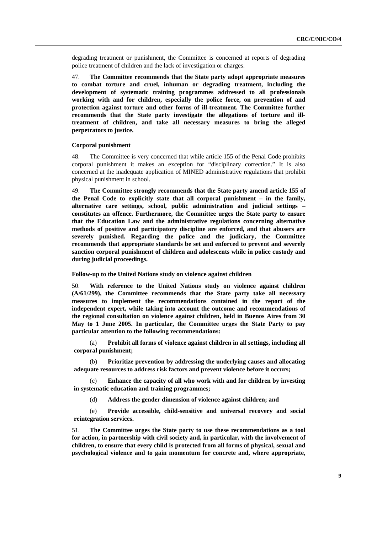degrading treatment or punishment, the Committee is concerned at reports of degrading police treatment of children and the lack of investigation or charges.

47. **The Committee recommends that the State party adopt appropriate measures to combat torture and cruel, inhuman or degrading treatment, including the development of systematic training programmes addressed to all professionals working with and for children, especially the police force, on prevention of and protection against torture and other forms of ill-treatment. The Committee further recommends that the State party investigate the allegations of torture and illtreatment of children, and take all necessary measures to bring the alleged perpetrators to justice.** 

#### **Corporal punishment**

48. The Committee is very concerned that while article 155 of the Penal Code prohibits corporal punishment it makes an exception for "disciplinary correction." It is also concerned at the inadequate application of MINED administrative regulations that prohibit physical punishment in school.

49. **The Committee strongly recommends that the State party amend article 155 of the Penal Code to explicitly state that all corporal punishment – in the family, alternative care settings, school, public administration and judicial settings – constitutes an offence. Furthermore, the Committee urges the State party to ensure that the Education Law and the administrative regulations concerning alternative methods of positive and participatory discipline are enforced, and that abusers are severely punished. Regarding the police and the judiciary, the Committee recommends that appropriate standards be set and enforced to prevent and severely sanction corporal punishment of children and adolescents while in police custody and during judicial proceedings.** 

 **Follow-up to the United Nations study on violence against children** 

50. **With reference to the United Nations study on violence against children (A/61/299), the Committee recommends that the State party take all necessary measures to implement the recommendations contained in the report of the independent expert, while taking into account the outcome and recommendations of the regional consultation on violence against children, held in Buenos Aires from 30 May to 1 June 2005. In particular, the Committee urges the State Party to pay particular attention to the following recommendations:** 

 (a) **Prohibit all forms of violence against children in all settings, including all corporal punishment;** 

 (b) **Prioritize prevention by addressing the underlying causes and allocating adequate resources to address risk factors and prevent violence before it occurs;** 

 (c) **Enhance the capacity of all who work with and for children by investing in systematic education and training programmes;** 

(d) **Address the gender dimension of violence against children; and** 

 (e) **Provide accessible, child-sensitive and universal recovery and social reintegration services.** 

51. **The Committee urges the State party to use these recommendations as a tool for action, in partnership with civil society and, in particular, with the involvement of children, to ensure that every child is protected from all forms of physical, sexual and psychological violence and to gain momentum for concrete and, where appropriate,**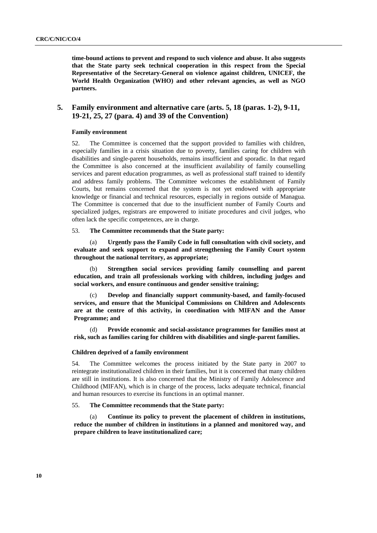**time-bound actions to prevent and respond to such violence and abuse. It also suggests that the State party seek technical cooperation in this respect from the Special Representative of the Secretary-General on violence against children, UNICEF, the World Health Organization (WHO) and other relevant agencies, as well as NGO partners.** 

## **5. Family environment and alternative care (arts. 5, 18 (paras. 1-2), 9-11, 19-21, 25, 27 (para. 4) and 39 of the Convention)**

## **Family environment**

52. The Committee is concerned that the support provided to families with children, especially families in a crisis situation due to poverty, families caring for children with disabilities and single-parent households, remains insufficient and sporadic. In that regard the Committee is also concerned at the insufficient availability of family counselling services and parent education programmes, as well as professional staff trained to identify and address family problems. The Committee welcomes the establishment of Family Courts, but remains concerned that the system is not yet endowed with appropriate knowledge or financial and technical resources, especially in regions outside of Managua. The Committee is concerned that due to the insufficient number of Family Courts and specialized judges, registrars are empowered to initiate procedures and civil judges, who often lack the specific competences, are in charge.

#### 53. **The Committee recommends that the State party:**

 (a) **Urgently pass the Family Code in full consultation with civil society, and evaluate and seek support to expand and strengthening the Family Court system throughout the national territory, as appropriate;** 

 (b) **Strengthen social services providing family counselling and parent education, and train all professionals working with children, including judges and social workers, and ensure continuous and gender sensitive training;** 

 (c) **Develop and financially support community-based, and family-focused services, and ensure that the Municipal Commissions on Children and Adolescents are at the centre of this activity, in coordination with MIFAN and the Amor Programme; and** 

 (d) **Provide economic and social-assistance programmes for families most at risk, such as families caring for children with disabilities and single-parent families.** 

#### **Children deprived of a family environment**

54. The Committee welcomes the process initiated by the State party in 2007 to reintegrate institutionalized children in their families, but it is concerned that many children are still in institutions. It is also concerned that the Ministry of Family Adolescence and Childhood (MIFAN), which is in charge of the process, lacks adequate technical, financial and human resources to exercise its functions in an optimal manner.

## 55. **The Committee recommends that the State party:**

 (a) **Continue its policy to prevent the placement of children in institutions, reduce the number of children in institutions in a planned and monitored way, and prepare children to leave institutionalized care;**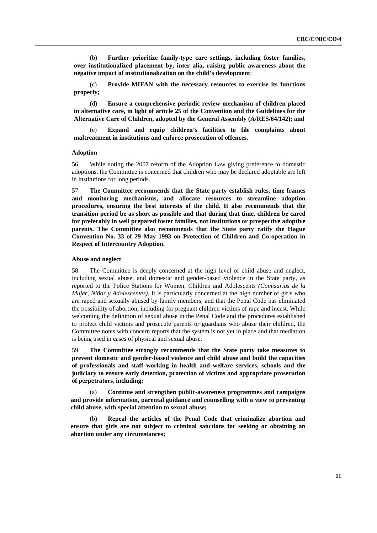(b) **Further prioritize family-type care settings, including foster families, over institutionalized placement by, inter alia, raising public awareness about the negative impact of institutionalization on the child's development**;

 (c) **Provide MIFAN with the necessary resources to exercise its functions properly;** 

 (d) **Ensure a comprehensive periodic review mechanism of children placed in alternative care, in light of article 25 of the Convention and the Guidelines for the Alternative Care of Children, adopted by the General Assembly (A/RES/64/142); and** 

 (e) **Expand and equip children's facilities to file complaints about maltreatment in institutions and enforce prosecution of offences.** 

#### **Adoption**

56. While noting the 2007 reform of the Adoption Law giving preference to domestic adoptions, the Committee is concerned that children who may be declared adoptable are left in institutions for long periods.

57. **The Committee recommends that the State party establish rules, time frames and monitoring mechanisms, and allocate resources to streamline adoption procedures, ensuring the best interests of the child. It also recommends that the transition period be as short as possible and that during that time, children be cared for preferably in well prepared foster families, not institutions or prospective adoptive parents. The Committee also recommends that the State party ratify the Hague Convention No. 33 of 29 May 1993 on Protection of Children and Co-operation in Respect of Intercountry Adoption.** 

#### **Abuse and neglect**

58. The Committee is deeply concerned at the high level of child abuse and neglect, including sexual abuse, and domestic and gender-based violence in the State party, as reported to the Police Stations for Women, Children and Adolescents *(Comisarías de la Mujer, Niños y Adolescentes)*. It is particularly concerned at the high number of girls who are raped and sexually abused by family members, and that the Penal Code has eliminated the possibility of abortion, including for pregnant children victims of rape and incest. While welcoming the definition of sexual abuse in the Penal Code and the procedures established to protect child victims and prosecute parents or guardians who abuse their children, the Committee notes with concern reports that the system is not yet in place and that mediation is being used in cases of physical and sexual abuse.

59. **The Committee strongly recommends that the State party take measures to prevent domestic and gender-based violence and child abuse and build the capacities of professionals and staff working in health and welfare services, schools and the judiciary to ensure early detection, protection of victims and appropriate prosecution of perpetrators, including:** 

 (a) **Continue and strengthen public-awareness programmes and campaigns and provide information, parental guidance and counselling with a view to preventing child abuse, with special attention to sexual abuse;** 

Repeal the articles of the Penal Code that criminalize abortion and **ensure that girls are not subject to criminal sanctions for seeking or obtaining an abortion under any circumstances;**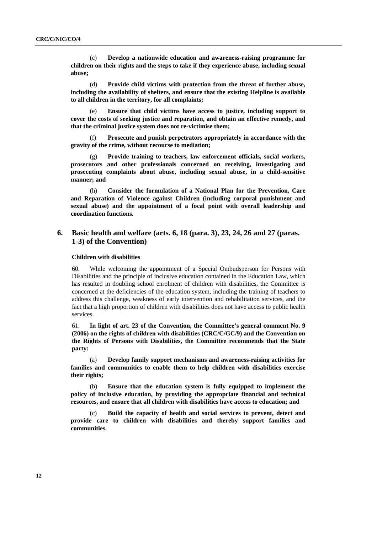(c) **Develop a nationwide education and awareness-raising programme for children on their rights and the steps to take if they experience abuse, including sexual abuse;** 

 (d) **Provide child victims with protection from the threat of further abuse, including the availability of shelters, and ensure that the existing Helpline is available to all children in the territory, for all complaints;** 

 (e) **Ensure that child victims have access to justice, including support to cover the costs of seeking justice and reparation, and obtain an effective remedy, and that the criminal justice system does not re-victimise them;** 

 (f) **Prosecute and punish perpetrators appropriately in accordance with the gravity of the crime, without recourse to mediation;** 

 (g) **Provide training to teachers, law enforcement officials, social workers, prosecutors and other professionals concerned on receiving, investigating and prosecuting complaints about abuse, including sexual abuse, in a child-sensitive manner; and** 

 (h) **Consider the formulation of a National Plan for the Prevention, Care and Reparation of Violence against Children (including corporal punishment and sexual abuse) and the appointment of a focal point with overall leadership and coordination functions.** 

## **6. Basic health and welfare (arts. 6, 18 (para. 3), 23, 24, 26 and 27 (paras. 1-3) of the Convention)**

#### **Children with disabilities**

60. While welcoming the appointment of a Special Ombudsperson for Persons with Disabilities and the principle of inclusive education contained in the Education Law, which has resulted in doubling school enrolment of children with disabilities, the Committee is concerned at the deficiencies of the education system, including the training of teachers to address this challenge, weakness of early intervention and rehabilitation services, and the fact that a high proportion of children with disabilities does not have access to public health services.

61. **In light of art. 23 of the Convention, the Committee's general comment No. 9 (2006) on the rights of children with disabilities (CRC/C/GC/9) and the Convention on the Rights of Persons with Disabilities, the Committee recommends that the State party:** 

 (a) **Develop family support mechanisms and awareness-raising activities for families and communities to enable them to help children with disabilities exercise their rights;**

 (b) **Ensure that the education system is fully equipped to implement the policy of inclusive education, by providing the appropriate financial and technical resources, and ensure that all children with disabilities have access to education; and** 

 (c) **Build the capacity of health and social services to prevent, detect and provide care to children with disabilities and thereby support families and communities.**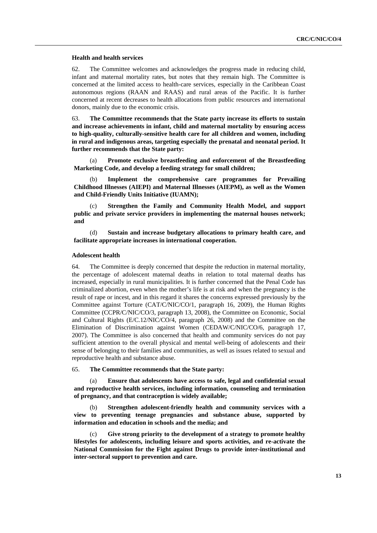#### **Health and health services**

62. The Committee welcomes and acknowledges the progress made in reducing child, infant and maternal mortality rates, but notes that they remain high. The Committee is concerned at the limited access to health-care services, especially in the Caribbean Coast autonomous regions (RAAN and RAAS) and rural areas of the Pacific. It is further concerned at recent decreases to health allocations from public resources and international donors, mainly due to the economic crisis.

63. **The Committee recommends that the State party increase its efforts to sustain and increase achievements in infant, child and maternal mortality by ensuring access to high-quality, culturally-sensitive health care for all children and women, including in rural and indigenous areas, targeting especially the prenatal and neonatal period. It further recommends that the State party:** 

 (a) **Promote exclusive breastfeeding and enforcement of the Breastfeeding Marketing Code, and develop a feeding strategy for small children;** 

 (b) **Implement the comprehensive care programmes for Prevailing Childhood Illnesses (AIEPI) and Maternal Illnesses (AIEPM), as well as the Women and Child-Friendly Units Initiative (IUAMN);**

 (c) **Strengthen the Family and Community Health Model, and support public and private service providers in implementing the maternal houses network; and**

 (d) **Sustain and increase budgetary allocations to primary health care, and facilitate appropriate increases in international cooperation.**

### **Adolescent health**

64. The Committee is deeply concerned that despite the reduction in maternal mortality, the percentage of adolescent maternal deaths in relation to total maternal deaths has increased, especially in rural municipalities. It is further concerned that the Penal Code has criminalized abortion, even when the mother's life is at risk and when the pregnancy is the result of rape or incest, and in this regard it shares the concerns expressed previously by the Committee against Torture (CAT/C/NIC/CO/1, paragraph 16, 2009), the Human Rights Committee (CCPR/C/NIC/CO/3, paragraph 13, 2008), the Committee on Economic, Social and Cultural Rights (E/C.12/NIC/CO/4, paragraph 26, 2008) and the Committee on the Elimination of Discrimination against Women (CEDAW/C/NIC/CO/6, paragraph 17, 2007). The Committee is also concerned that health and community services do not pay sufficient attention to the overall physical and mental well-being of adolescents and their sense of belonging to their families and communities, as well as issues related to sexual and reproductive health and substance abuse.

### 65. **The Committee recommends that the State party:**

 (a) **Ensure that adolescents have access to safe, legal and confidential sexual and reproductive health services, including information, counseling and termination of pregnancy, and that contraception is widely available;** 

 (b) **Strengthen adolescent-friendly health and community services with a view to preventing teenage pregnancies and substance abuse, supported by information and education in schools and the media; and** 

 (c) **Give strong priority to the development of a strategy to promote healthy lifestyles for adolescents, including leisure and sports activities, and re-activate the National Commission for the Fight against Drugs to provide inter-institutional and inter-sectoral support to prevention and care.**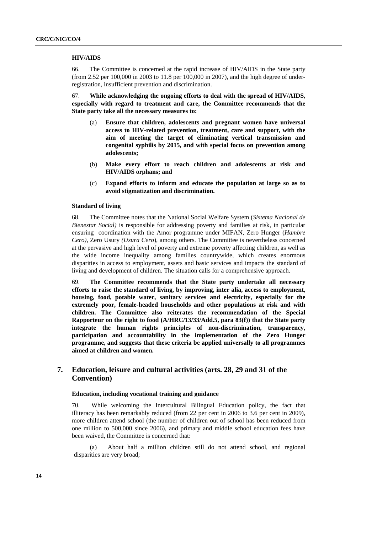#### **HIV/AIDS**

66. The Committee is concerned at the rapid increase of HIV/AIDS in the State party (from 2.52 per 100,000 in 2003 to 11.8 per 100,000 in 2007), and the high degree of underregistration, insufficient prevention and discrimination.

67. **While acknowledging the ongoing efforts to deal with the spread of HIV/AIDS, especially with regard to treatment and care, the Committee recommends that the State party take all the necessary measures to:** 

- (a) **Ensure that children, adolescents and pregnant women have universal access to HIV-related prevention, treatment, care and support, with the aim of meeting the target of eliminating vertical transmission and congenital syphilis by 2015, and with special focus on prevention among adolescents;**
- (b) **Make every effort to reach children and adolescents at risk and HIV/AIDS orphans; and**
- (c) **Expand efforts to inform and educate the population at large so as to avoid stigmatization and discrimination.**

#### **Standard of living**

68. The Committee notes that the National Social Welfare System (*Sistema Nacional de Bienestar Social)* is responsible for addressing poverty and families at risk, in particular ensuring coordination with the Amor programme under MIFAN, Zero Hunger (*Hambre Cero),* Zero Usury *(Usura Cero*), among others. The Committee is nevertheless concerned at the pervasive and high level of poverty and extreme poverty affecting children, as well as the wide income inequality among families countrywide, which creates enormous disparities in access to employment, assets and basic services and impacts the standard of living and development of children. The situation calls for a comprehensive approach.

69. **The Committee recommends that the State party undertake all necessary efforts to raise the standard of living, by improving, inter alia, access to employment, housing, food, potable water, sanitary services and electricity, especially for the extremely poor, female-headed households and other populations at risk and with children. The Committee also reiterates the recommendation of the Special Rapporteur on the right to food (A/HRC/13/33/Add.5, para 83(f)) that the State party integrate the human rights principles of non-discrimination, transparency, participation and accountability in the implementation of the Zero Hunger programme, and suggests that these criteria be applied universally to all programmes aimed at children and women.** 

## **7. Education, leisure and cultural activities (arts. 28, 29 and 31 of the Convention)**

## **Education, including vocational training and guidance**

70. While welcoming the Intercultural Bilingual Education policy, the fact that illiteracy has been remarkably reduced (from 22 per cent in 2006 to 3.6 per cent in 2009), more children attend school (the number of children out of school has been reduced from one million to 500,000 since 2006), and primary and middle school education fees have been waived, the Committee is concerned that:

 (a) About half a million children still do not attend school, and regional disparities are very broad;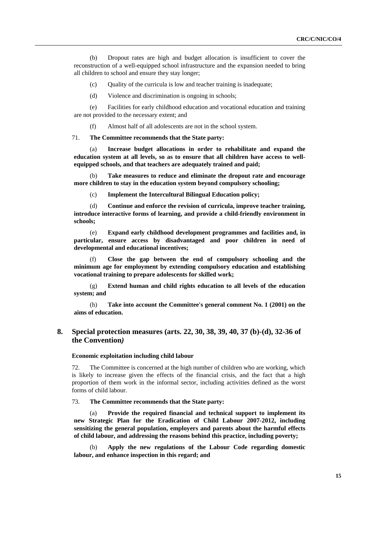(b) Dropout rates are high and budget allocation is insufficient to cover the reconstruction of a well-equipped school infrastructure and the expansion needed to bring all children to school and ensure they stay longer;

(c) Quality of the curricula is low and teacher training is inadequate;

(d) Violence and discrimination is ongoing in schools;

 (e) Facilities for early childhood education and vocational education and training are not provided to the necessary extent; and

(f) Almost half of all adolescents are not in the school system.

71. **The Committee recommends that the State party:** 

Increase budget allocations in order to rehabilitate and expand the **education system at all levels, so as to ensure that all children have access to wellequipped schools, and that teachers are adequately trained and paid;** 

 (b) **Take measures to reduce and eliminate the dropout rate and encourage more children to stay in the education system beyond compulsory schooling;** 

(c) **Implement the Intercultural Bilingual Education policy;** 

 (d) **Continue and enforce the revision of curricula, improve teacher training, introduce interactive forms of learning, and provide a child-friendly environment in schools;** 

 (e) **Expand early childhood development programmes and facilities and, in particular, ensure access by disadvantaged and poor children in need of developmental and educational incentives;** 

 (f) **Close the gap between the end of compulsory schooling and the minimum age for employment by extending compulsory education and establishing vocational training to prepare adolescents for skilled work;** 

 (g) **Extend human and child rights education to all levels of the education system; and** 

 (h) **Take into account the Committee's general comment No. 1 (2001) on the aims of education.** 

## **8. Special protection measures (arts. 22, 30, 38, 39, 40, 37 (b)-(d), 32-36 of the Convention***)*

#### **Economic exploitation including child labour**

72. The Committee is concerned at the high number of children who are working, which is likely to increase given the effects of the financial crisis, and the fact that a high proportion of them work in the informal sector, including activities defined as the worst forms of child labour.

73. **The Committee recommends that the State party:** 

 (a) **Provide the required financial and technical support to implement its new Strategic Plan for the Eradication of Child Labour 2007-2012, including sensitizing the general population, employers and parents about the harmful effects of child labour, and addressing the reasons behind this practice, including poverty;** 

 (b) **Apply the new regulations of the Labour Code regarding domestic labour, and enhance inspection in this regard; and**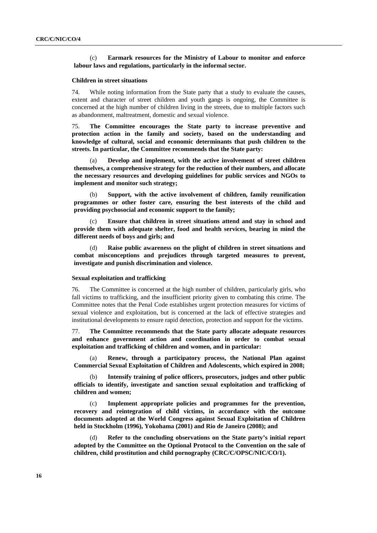(c) **Earmark resources for the Ministry of Labour to monitor and enforce labour laws and regulations, particularly in the informal sector.** 

#### **Children in street situations**

74. While noting information from the State party that a study to evaluate the causes, extent and character of street children and youth gangs is ongoing, the Committee is concerned at the high number of children living in the streets, due to multiple factors such as abandonment, maltreatment, domestic and sexual violence.

75. **The Committee encourages the State party to increase preventive and protection action in the family and society, based on the understanding and knowledge of cultural, social and economic determinants that push children to the streets. In particular, the Committee recommends that the State party:** 

 (a) **Develop and implement, with the active involvement of street children themselves, a comprehensive strategy for the reduction of their numbers, and allocate the necessary resources and developing guidelines for public services and NGOs to implement and monitor such strategy;** 

 (b) **Support, with the active involvement of children, family reunification programmes or other foster care, ensuring the best interests of the child and providing psychosocial and economic support to the family;** 

 (c) **Ensure that children in street situations attend and stay in school and provide them with adequate shelter, food and health services, bearing in mind the different needs of boys and girls; and** 

 (d) **Raise public awareness on the plight of children in street situations and combat misconceptions and prejudices through targeted measures to prevent, investigate and punish discrimination and violence.** 

#### **Sexual exploitation and trafficking**

76. The Committee is concerned at the high number of children, particularly girls, who fall victims to trafficking, and the insufficient priority given to combating this crime. The Committee notes that the Penal Code establishes urgent protection measures for victims of sexual violence and exploitation, but is concerned at the lack of effective strategies and institutional developments to ensure rapid detection, protection and support for the victims.

77. **The Committee recommends that the State party allocate adequate resources and enhance government action and coordination in order to combat sexual exploitation and trafficking of children and women, and in particular:** 

 (a) **Renew, through a participatory process, the National Plan against Commercial Sexual Exploitation of Children and Adolescents, which expired in 2008;** 

 (b) **Intensify training of police officers, prosecutors, judges and other public officials to identify, investigate and sanction sexual exploitation and trafficking of children and women;** 

 (c) **Implement appropriate policies and programmes for the prevention, recovery and reintegration of child victims, in accordance with the outcome documents adopted at the World Congress against Sexual Exploitation of Children held in Stockholm (1996), Yokohama (2001) and Rio de Janeiro (2008); and** 

 (d) **Refer to the concluding observations on the State party's initial report adopted by the Committee on the Optional Protocol to the Convention on the sale of children, child prostitution and child pornography (CRC/C/OPSC/NIC/CO/1).**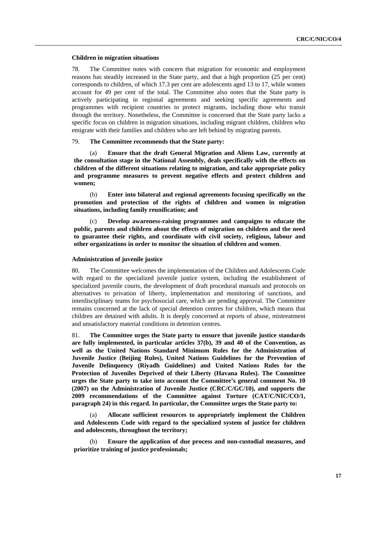#### **Children in migration situations**

78. The Committee notes with concern that migration for economic and employment reasons has steadily increased in the State party, and that a high proportion (25 per cent) corresponds to children, of which 17.3 per cent are adolescents aged 13 to 17, while women account for 49 per cent of the total. The Committee also notes that the State party is actively participating in regional agreements and seeking specific agreements and programmes with recipient countries to protect migrants, including those who transit through the territory. Nonetheless, the Committee is concerned that the State party lacks a specific focus on children in migration situations, including migrant children, children who emigrate with their families and children who are left behind by migrating parents.

79. **The Committee recommends that the State party:** 

 (a) **Ensure that the draft General Migration and Aliens Law, currently at the consultation stage in the National Assembly, deals specifically with the effects on children of the different situations relating to migration, and take appropriate policy and programme measures to prevent negative effects and protect children and women;** 

 (b) **Enter into bilateral and regional agreements focusing specifically on the promotion and protection of the rights of children and women in migration situations, including family reunification; and** 

 (c) **Develop awareness-raising programmes and campaigns to educate the public, parents and children about the effects of migration on children and the need to guarantee their rights, and coordinate with civil society, religious, labour and other organizations in order to monitor the situation of children and women**.

#### **Administration of juvenile justice**

80. The Committee welcomes the implementation of the Children and Adolescents Code with regard to the specialized juvenile justice system, including the establishment of specialized juvenile courts, the development of draft procedural manuals and protocols on alternatives to privation of liberty, implementation and monitoring of sanctions, and interdisciplinary teams for psychosocial care, which are pending approval. The Committee remains concerned at the lack of special detention centres for children, which means that children are detained with adults. It is deeply concerned at reports of abuse, mistreatment and unsatisfactory material conditions in detention centres.

81. **The Committee urges the State party to ensure that juvenile justice standards are fully implemented, in particular articles 37(b), 39 and 40 of the Convention, as well as the United Nations Standard Minimum Rules for the Administration of Juvenile Justice (Beijing Rules), United Nations Guidelines for the Prevention of Juvenile Delinquency (Riyadh Guidelines) and United Nations Rules for the Protection of Juveniles Deprived of their Liberty (Havana Rules). The Committee urges the State party to take into account the Committee's general comment No. 10 (2007) on the Administration of Juvenile Justice (CRC/C/GC/10), and supports the 2009 recommendations of the Committee against Torture (CAT/C/NIC/CO/1, paragraph 24) in this regard. In particular, the Committee urges the State party to:** 

 (a) **Allocate sufficient resources to appropriately implement the Children and Adolescents Code with regard to the specialized system of justice for children and adolescents, throughout the territory;** 

 (b) **Ensure the application of due process and non-custodial measures, and prioritize training of justice professionals;**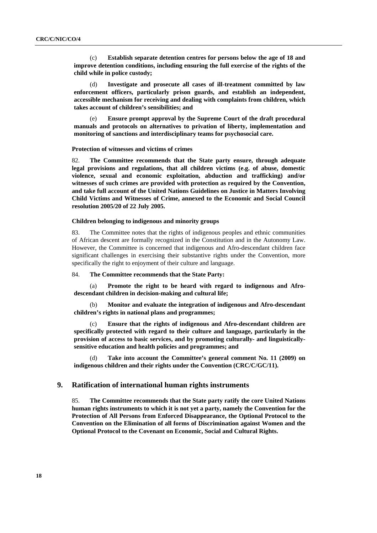(c) **Establish separate detention centres for persons below the age of 18 and improve detention conditions, including ensuring the full exercise of the rights of the child while in police custody;** 

 (d) **Investigate and prosecute all cases of ill-treatment committed by law enforcement officers, particularly prison guards, and establish an independent, accessible mechanism for receiving and dealing with complaints from children, which takes account of children's sensibilities; and** 

 (e) **Ensure prompt approval by the Supreme Court of the draft procedural manuals and protocols on alternatives to privation of liberty, implementation and monitoring of sanctions and interdisciplinary teams for psychosocial care.** 

### **Protection of witnesses and victims of crimes**

82. **The Committee recommends that the State party ensure, through adequate legal provisions and regulations, that all children victims (e.g. of abuse, domestic violence, sexual and economic exploitation, abduction and trafficking) and/or witnesses of such crimes are provided with protection as required by the Convention, and take full account of the United Nations Guidelines on Justice in Matters Involving Child Victims and Witnesses of Crime, annexed to the Economic and Social Council resolution 2005/20 of 22 July 2005.** 

#### **Children belonging to indigenous and minority groups**

83. The Committee notes that the rights of indigenous peoples and ethnic communities of African descent are formally recognized in the Constitution and in the Autonomy Law. However, the Committee is concerned that indigenous and Afro-descendant children face significant challenges in exercising their substantive rights under the Convention, more specifically the right to enjoyment of their culture and language.

## 84. **The Committee recommends that the State Party:**

 (a) **Promote the right to be heard with regard to indigenous and Afrodescendant children in decision-making and cultural life;** 

 (b) **Monitor and evaluate the integration of indigenous and Afro-descendant children's rights in national plans and programmes;** 

 (c) **Ensure that the rights of indigenous and Afro-descendant children are specifically protected with regard to their culture and language, particularly in the provision of access to basic services, and by promoting culturally- and linguisticallysensitive education and health policies and programmes; and** 

 (d) **Take into account the Committee's general comment No. 11 (2009) on indigenous children and their rights under the Convention (CRC/C/GC/11).** 

### **9. Ratification of international human rights instruments**

85. **The Committee recommends that the State party ratify the core United Nations human rights instruments to which it is not yet a party, namely the Convention for the Protection of All Persons from Enforced Disappearance, the Optional Protocol to the Convention on the Elimination of all forms of Discrimination against Women and the Optional Protocol to the Covenant on Economic, Social and Cultural Rights.**